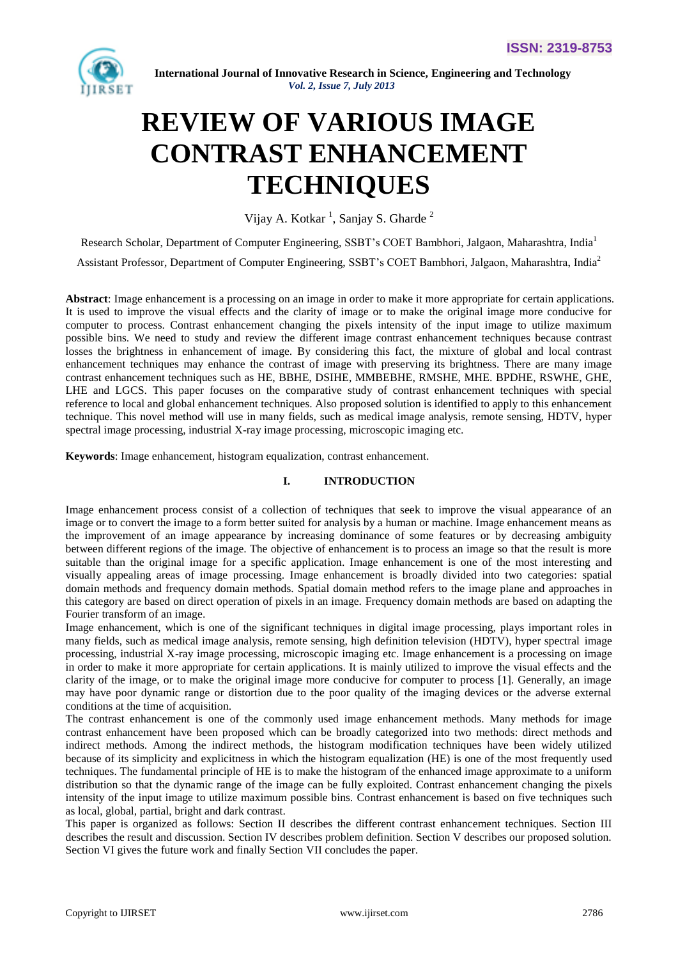

# **REVIEW OF VARIOUS IMAGE CONTRAST ENHANCEMENT TECHNIQUES**

Vijay A. Kotkar<sup>1</sup>, Sanjay S. Gharde<sup>2</sup>

Research Scholar, Department of Computer Engineering, SSBT's COET Bambhori, Jalgaon, Maharashtra, India<sup>1</sup>

Assistant Professor, Department of Computer Engineering, SSBT's COET Bambhori, Jalgaon, Maharashtra, India<sup>2</sup>

**Abstract**: Image enhancement is a processing on an image in order to make it more appropriate for certain applications. It is used to improve the visual effects and the clarity of image or to make the original image more conducive for computer to process. Contrast enhancement changing the pixels intensity of the input image to utilize maximum possible bins. We need to study and review the different image contrast enhancement techniques because contrast losses the brightness in enhancement of image. By considering this fact, the mixture of global and local contrast enhancement techniques may enhance the contrast of image with preserving its brightness. There are many image contrast enhancement techniques such as HE, BBHE, DSIHE, MMBEBHE, RMSHE, MHE. BPDHE, RSWHE, GHE, LHE and LGCS. This paper focuses on the comparative study of contrast enhancement techniques with special reference to local and global enhancement techniques. Also proposed solution is identified to apply to this enhancement technique. This novel method will use in many fields, such as medical image analysis, remote sensing, HDTV, hyper spectral image processing, industrial X-ray image processing, microscopic imaging etc.

**Keywords**: Image enhancement, histogram equalization, contrast enhancement.

# **I. INTRODUCTION**

Image enhancement process consist of a collection of techniques that seek to improve the visual appearance of an image or to convert the image to a form better suited for analysis by a human or machine. Image enhancement means as the improvement of an image appearance by increasing dominance of some features or by decreasing ambiguity between different regions of the image. The objective of enhancement is to process an image so that the result is more suitable than the original image for a specific application. Image enhancement is one of the most interesting and visually appealing areas of image processing. Image enhancement is broadly divided into two categories: spatial domain methods and frequency domain methods. Spatial domain method refers to the image plane and approaches in this category are based on direct operation of pixels in an image. Frequency domain methods are based on adapting the Fourier transform of an image.

Image enhancement, which is one of the significant techniques in digital image processing, plays important roles in many fields, such as medical image analysis, remote sensing, high definition television (HDTV), hyper spectral image processing, industrial X-ray image processing, microscopic imaging etc. Image enhancement is a processing on image in order to make it more appropriate for certain applications. It is mainly utilized to improve the visual effects and the clarity of the image, or to make the original image more conducive for computer to process [1]. Generally, an image may have poor dynamic range or distortion due to the poor quality of the imaging devices or the adverse external conditions at the time of acquisition.

The contrast enhancement is one of the commonly used image enhancement methods. Many methods for image contrast enhancement have been proposed which can be broadly categorized into two methods: direct methods and indirect methods. Among the indirect methods, the histogram modification techniques have been widely utilized because of its simplicity and explicitness in which the histogram equalization (HE) is one of the most frequently used techniques. The fundamental principle of HE is to make the histogram of the enhanced image approximate to a uniform distribution so that the dynamic range of the image can be fully exploited. Contrast enhancement changing the pixels intensity of the input image to utilize maximum possible bins. Contrast enhancement is based on five techniques such as local, global, partial, bright and dark contrast.

This paper is organized as follows: Section II describes the different contrast enhancement techniques. Section III describes the result and discussion. Section IV describes problem definition. Section V describes our proposed solution. Section VI gives the future work and finally Section VII concludes the paper.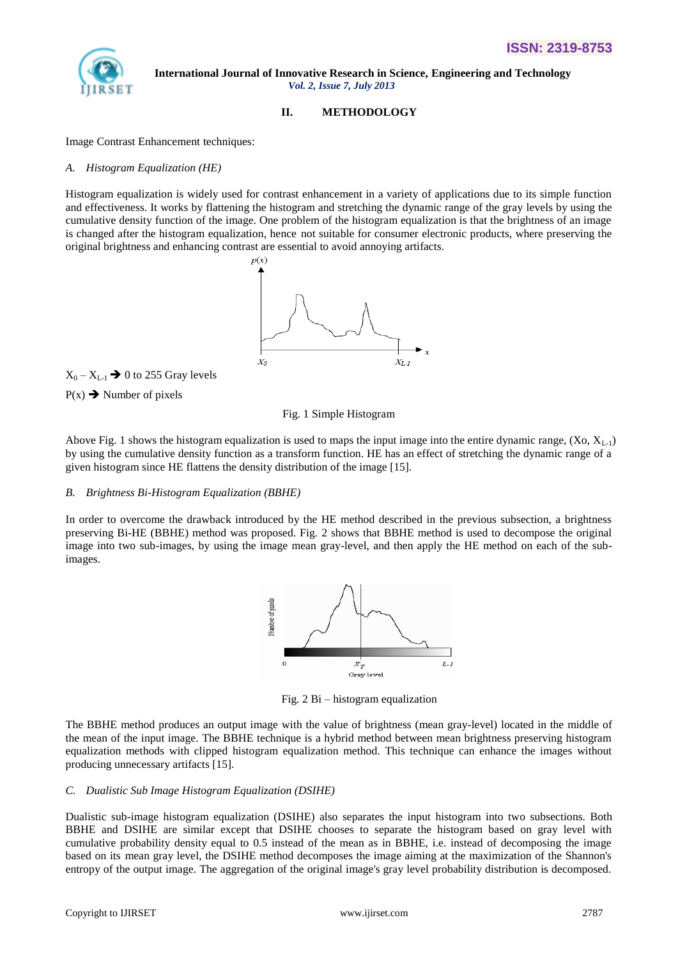

## **II. METHODOLOGY**

Image Contrast Enhancement techniques:

#### *A. Histogram Equalization (HE)*

Histogram equalization is widely used for contrast enhancement in a variety of applications due to its simple function and effectiveness. It works by flattening the histogram and stretching the dynamic range of the gray levels by using the cumulative density function of the image. One problem of the histogram equalization is that the brightness of an image is changed after the histogram equalization, hence not suitable for consumer electronic products, where preserving the original brightness and enhancing contrast are essential to avoid annoying artifacts.



 $X_0 - X_{L-1} \rightarrow 0$  to 255 Gray levels

 $P(x) \rightarrow$  Number of pixels

Fig. 1 Simple Histogram

Above Fig. 1 shows the histogram equalization is used to maps the input image into the entire dynamic range,  $(X_0, X_{L_1})$ by using the cumulative density function as a transform function. HE has an effect of stretching the dynamic range of a given histogram since HE flattens the density distribution of the image [15].

## *B. Brightness Bi-Histogram Equalization (BBHE)*

In order to overcome the drawback introduced by the HE method described in the previous subsection, a brightness preserving Bi-HE (BBHE) method was proposed. Fig. 2 shows that BBHE method is used to decompose the original image into two sub-images, by using the image mean gray-level, and then apply the HE method on each of the subimages.



Fig. 2 Bi – histogram equalization

The BBHE method produces an output image with the value of brightness (mean gray-level) located in the middle of the mean of the input image. The BBHE technique is a hybrid method between mean brightness preserving histogram equalization methods with clipped histogram equalization method. This technique can enhance the images without producing unnecessary artifacts [15].

#### *C. Dualistic Sub Image Histogram Equalization (DSIHE)*

Dualistic sub-image histogram equalization (DSIHE) also separates the input histogram into two subsections. Both BBHE and DSIHE are similar except that DSIHE chooses to separate the histogram based on gray level with cumulative probability density equal to 0.5 instead of the mean as in BBHE, i.e. instead of decomposing the image based on its mean gray level, the DSIHE method decomposes the image aiming at the maximization of the Shannon's entropy of the output image. The aggregation of the original image's gray level probability distribution is decomposed.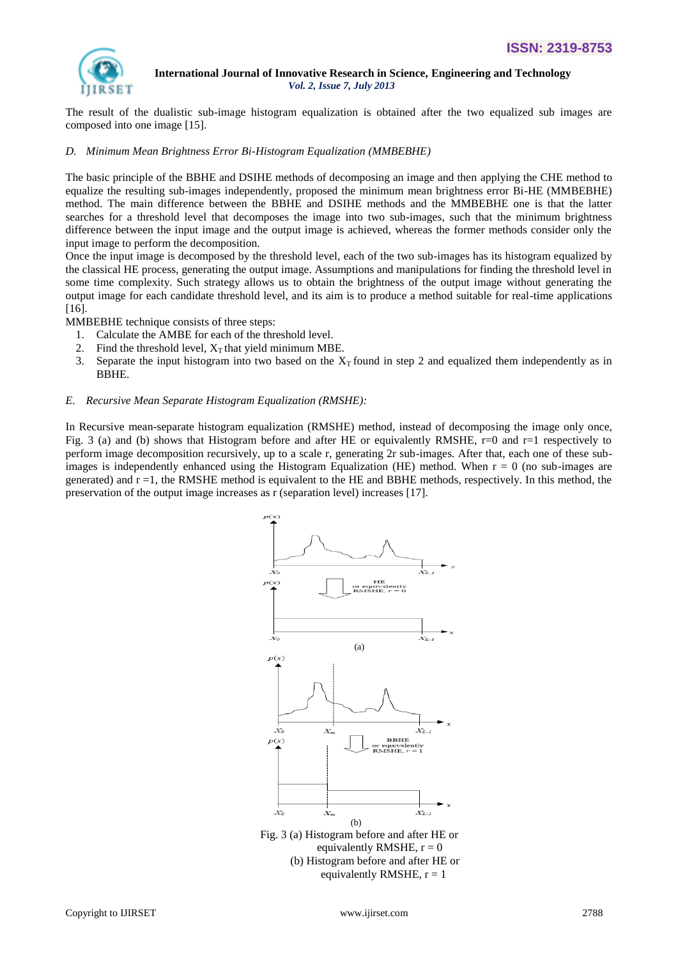

The result of the dualistic sub-image histogram equalization is obtained after the two equalized sub images are composed into one image [15].

#### *D. Minimum Mean Brightness Error Bi-Histogram Equalization (MMBEBHE)*

The basic principle of the BBHE and DSIHE methods of decomposing an image and then applying the CHE method to equalize the resulting sub-images independently, proposed the minimum mean brightness error Bi-HE (MMBEBHE) method. The main difference between the BBHE and DSIHE methods and the MMBEBHE one is that the latter searches for a threshold level that decomposes the image into two sub-images, such that the minimum brightness difference between the input image and the output image is achieved, whereas the former methods consider only the input image to perform the decomposition.

Once the input image is decomposed by the threshold level, each of the two sub-images has its histogram equalized by the classical HE process, generating the output image. Assumptions and manipulations for finding the threshold level in some time complexity. Such strategy allows us to obtain the brightness of the output image without generating the output image for each candidate threshold level, and its aim is to produce a method suitable for real-time applications [16].

MMBEBHE technique consists of three steps:

- 1. Calculate the AMBE for each of the threshold level.
- 2. Find the threshold level,  $X_T$  that yield minimum MBE.
- 3. Separate the input histogram into two based on the  $X_T$  found in step 2 and equalized them independently as in BBHE.

#### *E. Recursive Mean Separate Histogram Equalization (RMSHE):*

In Recursive mean-separate histogram equalization (RMSHE) method, instead of decomposing the image only once, Fig. 3 (a) and (b) shows that Histogram before and after HE or equivalently RMSHE, r=0 and r=1 respectively to perform image decomposition recursively, up to a scale r, generating 2r sub-images. After that, each one of these subimages is independently enhanced using the Histogram Equalization (HE) method. When  $r = 0$  (no sub-images are generated) and  $r = 1$ , the RMSHE method is equivalent to the HE and BBHE methods, respectively. In this method, the preservation of the output image increases as r (separation level) increases [17].

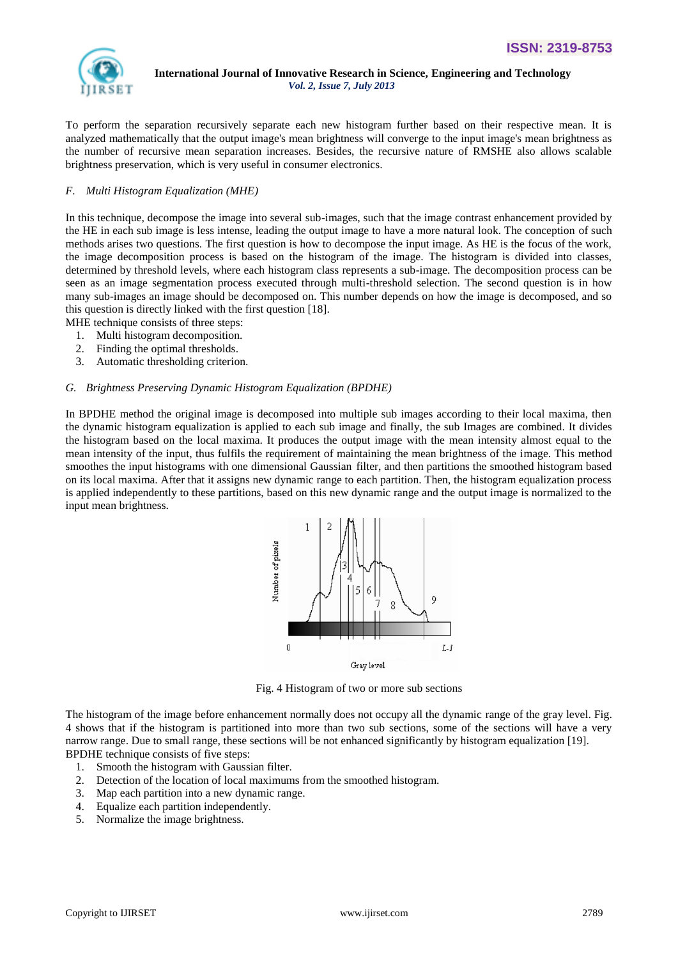

To perform the separation recursively separate each new histogram further based on their respective mean. It is analyzed mathematically that the output image's mean brightness will converge to the input image's mean brightness as the number of recursive mean separation increases. Besides, the recursive nature of RMSHE also allows scalable brightness preservation, which is very useful in consumer electronics.

## *F. Multi Histogram Equalization (MHE)*

In this technique, decompose the image into several sub-images, such that the image contrast enhancement provided by the HE in each sub image is less intense, leading the output image to have a more natural look. The conception of such methods arises two questions. The first question is how to decompose the input image. As HE is the focus of the work, the image decomposition process is based on the histogram of the image. The histogram is divided into classes, determined by threshold levels, where each histogram class represents a sub-image. The decomposition process can be seen as an image segmentation process executed through multi-threshold selection. The second question is in how many sub-images an image should be decomposed on. This number depends on how the image is decomposed, and so this question is directly linked with the first question [18].

MHE technique consists of three steps:

- 1. Multi histogram decomposition.
- 2. Finding the optimal thresholds.
- 3. Automatic thresholding criterion.

## *G. Brightness Preserving Dynamic Histogram Equalization (BPDHE)*

In BPDHE method the original image is decomposed into multiple sub images according to their local maxima, then the dynamic histogram equalization is applied to each sub image and finally, the sub Images are combined. It divides the histogram based on the local maxima. It produces the output image with the mean intensity almost equal to the mean intensity of the input, thus fulfils the requirement of maintaining the mean brightness of the image. This method smoothes the input histograms with one dimensional Gaussian filter, and then partitions the smoothed histogram based on its local maxima. After that it assigns new dynamic range to each partition. Then, the histogram equalization process is applied independently to these partitions, based on this new dynamic range and the output image is normalized to the input mean brightness.



Fig. 4 Histogram of two or more sub sections

The histogram of the image before enhancement normally does not occupy all the dynamic range of the gray level. Fig. 4 shows that if the histogram is partitioned into more than two sub sections, some of the sections will have a very narrow range. Due to small range, these sections will be not enhanced significantly by histogram equalization [19]. BPDHE technique consists of five steps:

- 1. Smooth the histogram with Gaussian filter.
- 2. Detection of the location of local maximums from the smoothed histogram.
- 3. Map each partition into a new dynamic range.
- 4. Equalize each partition independently.
- 5. Normalize the image brightness.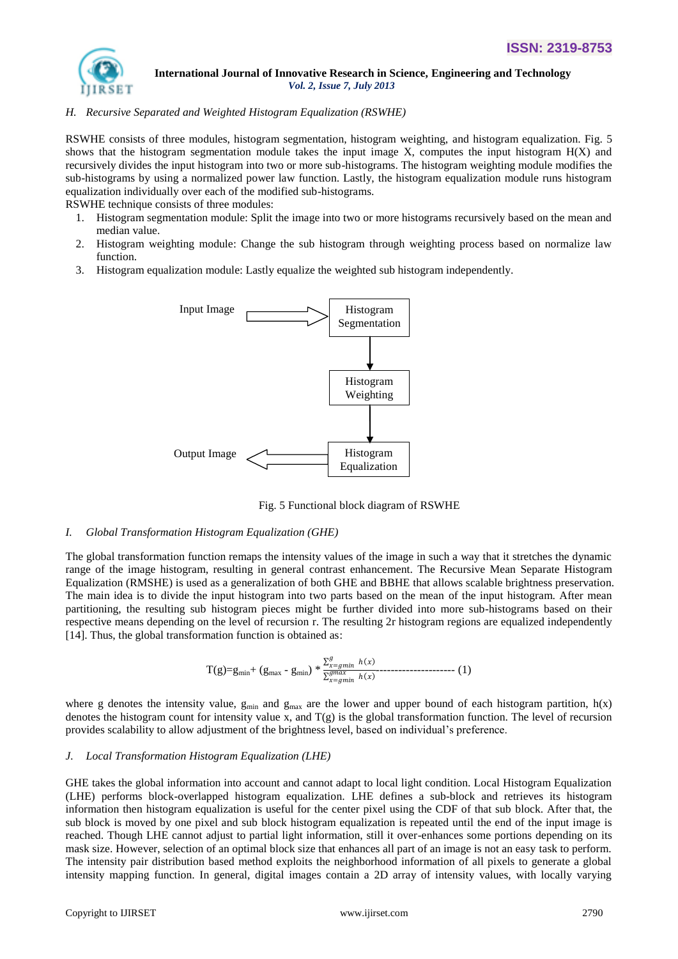

## *H. Recursive Separated and Weighted Histogram Equalization (RSWHE)*

RSWHE consists of three modules, histogram segmentation, histogram weighting, and histogram equalization. Fig. 5 shows that the histogram segmentation module takes the input image X, computes the input histogram  $H(X)$  and recursively divides the input histogram into two or more sub-histograms. The histogram weighting module modifies the sub-histograms by using a normalized power law function. Lastly, the histogram equalization module runs histogram equalization individually over each of the modified sub-histograms.

RSWHE technique consists of three modules:

- 1. Histogram segmentation module: Split the image into two or more histograms recursively based on the mean and median value.
- 2. Histogram weighting module: Change the sub histogram through weighting process based on normalize law function.
- 3. Histogram equalization module: Lastly equalize the weighted sub histogram independently.



Fig. 5 Functional block diagram of RSWHE

## *I. Global Transformation Histogram Equalization (GHE)*

The global transformation function remaps the intensity values of the image in such a way that it stretches the dynamic range of the image histogram, resulting in general contrast enhancement. The Recursive Mean Separate Histogram Equalization (RMSHE) is used as a generalization of both GHE and BBHE that allows scalable brightness preservation. The main idea is to divide the input histogram into two parts based on the mean of the input histogram. After mean partitioning, the resulting sub histogram pieces might be further divided into more sub-histograms based on their respective means depending on the level of recursion r. The resulting 2r histogram regions are equalized independently [14]. Thus, the global transformation function is obtained as:

$$
T(g)=g_{min}+(g_{max}-g_{min})*\frac{\sum_{x=gmin}^{g}h(x)}{\sum_{x=gmin}^{gmax}h(x)}-\cdots
$$
 (1)

where g denotes the intensity value,  $g_{min}$  and  $g_{max}$  are the lower and upper bound of each histogram partition,  $h(x)$ denotes the histogram count for intensity value x, and  $T(g)$  is the global transformation function. The level of recursion provides scalability to allow adjustment of the brightness level, based on individual's preference.

#### *J. Local Transformation Histogram Equalization (LHE)*

GHE takes the global information into account and cannot adapt to local light condition. Local Histogram Equalization (LHE) performs block-overlapped histogram equalization. LHE defines a sub-block and retrieves its histogram information then histogram equalization is useful for the center pixel using the CDF of that sub block. After that, the sub block is moved by one pixel and sub block histogram equalization is repeated until the end of the input image is reached. Though LHE cannot adjust to partial light information, still it over-enhances some portions depending on its mask size. However, selection of an optimal block size that enhances all part of an image is not an easy task to perform. The intensity pair distribution based method exploits the neighborhood information of all pixels to generate a global intensity mapping function. In general, digital images contain a 2D array of intensity values, with locally varying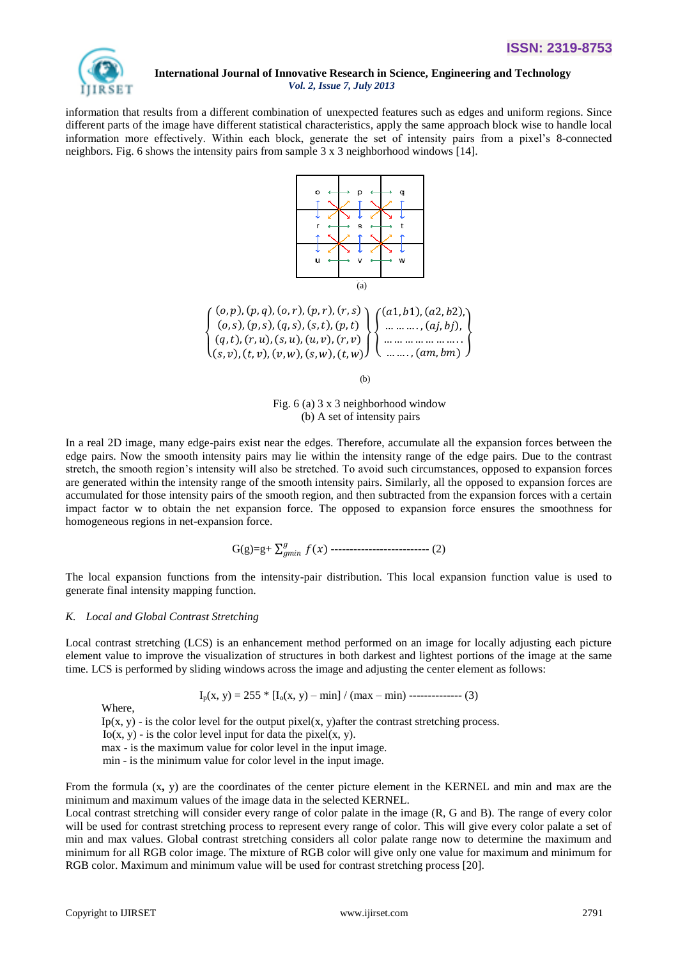

information that results from a different combination of unexpected features such as edges and uniform regions. Since different parts of the image have different statistical characteristics, apply the same approach block wise to handle local information more effectively. Within each block, generate the set of intensity pairs from a pixel's 8-connected neighbors. Fig. 6 shows the intensity pairs from sample 3 x 3 neighborhood windows [14].





(b)

Fig. 6 (a) 3 x 3 neighborhood window (b) A set of intensity pairs

In a real 2D image, many edge-pairs exist near the edges. Therefore, accumulate all the expansion forces between the edge pairs. Now the smooth intensity pairs may lie within the intensity range of the edge pairs. Due to the contrast stretch, the smooth region's intensity will also be stretched. To avoid such circumstances, opposed to expansion forces are generated within the intensity range of the smooth intensity pairs. Similarly, all the opposed to expansion forces are accumulated for those intensity pairs of the smooth region, and then subtracted from the expansion forces with a certain impact factor w to obtain the net expansion force. The opposed to expansion force ensures the smoothness for homogeneous regions in net-expansion force.

$$
G(g)=g+\sum_{gmin}^{g}f(x) \cdots \cdots \cdots \cdots \cdots \cdots \cdots \cdots \cdots \cdots \cdots (2)
$$

The local expansion functions from the intensity-pair distribution. This local expansion function value is used to generate final intensity mapping function.

## *K. Local and Global Contrast Stretching*

Local contrast stretching (LCS) is an enhancement method performed on an image for locally adjusting each picture element value to improve the visualization of structures in both darkest and lightest portions of the image at the same time. LCS is performed by sliding windows across the image and adjusting the center element as follows:

$$
I_p(x, y) = 255 * [I_o(x, y) - min] / (max - min) \dots \dots \dots \dots \dots \dots \tag{3}
$$

Where,

Ip(x, y) - is the color level for the output pixel(x, y)after the contrast stretching process.

Io(x, y) - is the color level input for data the pixel(x, y).

max - is the maximum value for color level in the input image.

min - is the minimum value for color level in the input image.

From the formula (x**,** y) are the coordinates of the center picture element in the KERNEL and min and max are the minimum and maximum values of the image data in the selected KERNEL.

Local contrast stretching will consider every range of color palate in the image (R, G and B). The range of every color will be used for contrast stretching process to represent every range of color. This will give every color palate a set of min and max values. Global contrast stretching considers all color palate range now to determine the maximum and minimum for all RGB color image. The mixture of RGB color will give only one value for maximum and minimum for RGB color. Maximum and minimum value will be used for contrast stretching process [20].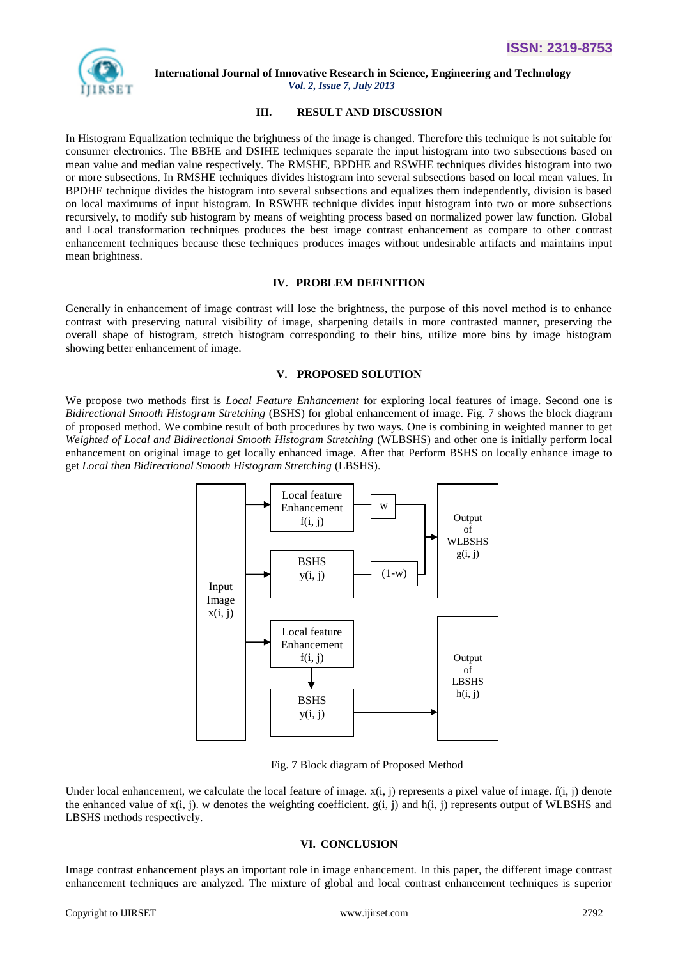

## **III. RESULT AND DISCUSSION**

In Histogram Equalization technique the brightness of the image is changed. Therefore this technique is not suitable for consumer electronics. The BBHE and DSIHE techniques separate the input histogram into two subsections based on mean value and median value respectively. The RMSHE, BPDHE and RSWHE techniques divides histogram into two or more subsections. In RMSHE techniques divides histogram into several subsections based on local mean values. In BPDHE technique divides the histogram into several subsections and equalizes them independently, division is based on local maximums of input histogram. In RSWHE technique divides input histogram into two or more subsections recursively, to modify sub histogram by means of weighting process based on normalized power law function. Global and Local transformation techniques produces the best image contrast enhancement as compare to other contrast enhancement techniques because these techniques produces images without undesirable artifacts and maintains input mean brightness.

## **IV. PROBLEM DEFINITION**

Generally in enhancement of image contrast will lose the brightness, the purpose of this novel method is to enhance contrast with preserving natural visibility of image, sharpening details in more contrasted manner, preserving the overall shape of histogram, stretch histogram corresponding to their bins, utilize more bins by image histogram showing better enhancement of image.

#### **V. PROPOSED SOLUTION**

We propose two methods first is *Local Feature Enhancement* for exploring local features of image. Second one is *Bidirectional Smooth Histogram Stretching* (BSHS) for global enhancement of image. Fig. 7 shows the block diagram of proposed method. We combine result of both procedures by two ways. One is combining in weighted manner to get *Weighted of Local and Bidirectional Smooth Histogram Stretching* (WLBSHS) and other one is initially perform local enhancement on original image to get locally enhanced image. After that Perform BSHS on locally enhance image to get *Local then Bidirectional Smooth Histogram Stretching* (LBSHS).



Fig. 7 Block diagram of Proposed Method

Under local enhancement, we calculate the local feature of image.  $x(i, j)$  represents a pixel value of image.  $f(i, j)$  denote the enhanced value of  $x(i, j)$ . w denotes the weighting coefficient.  $g(i, j)$  and  $h(i, j)$  represents output of WLBSHS and LBSHS methods respectively.

## **VI. CONCLUSION**

Image contrast enhancement plays an important role in image enhancement. In this paper, the different image contrast enhancement techniques are analyzed. The mixture of global and local contrast enhancement techniques is superior